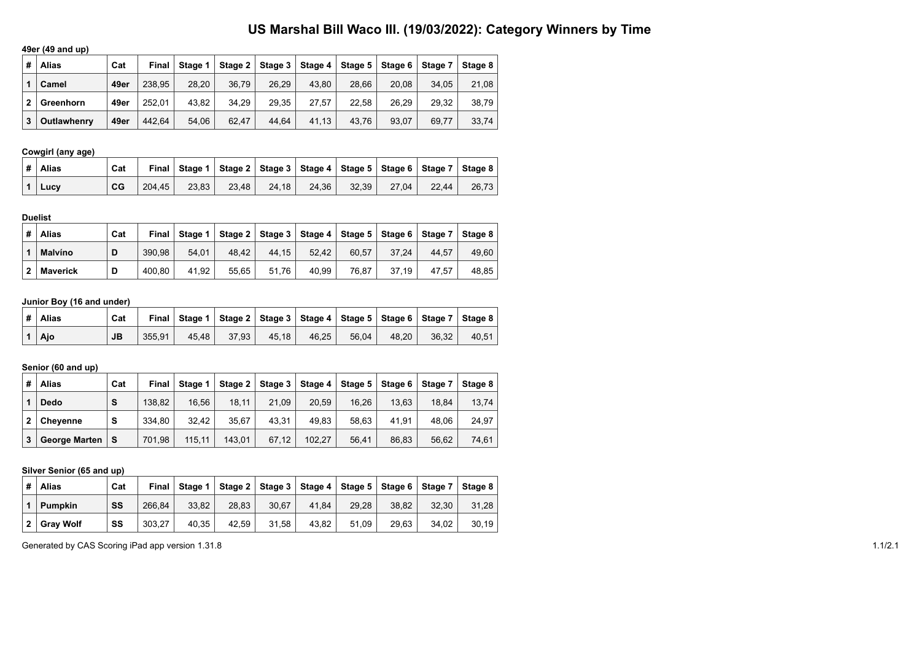# **US Marshal Bill Waco III. (19/03/2022): Category Winners by Time**

# **49er (49 and up)**

| # | <b>Alias</b> | Cat  | Final  | Stage 1 |       |       | Stage 2   Stage 3   Stage 4 | Stage $51$ | Stage 6 | ∣ Stage 7 | Stage 8 |
|---|--------------|------|--------|---------|-------|-------|-----------------------------|------------|---------|-----------|---------|
|   | Camel        | 49er | 238.95 | 28.20   | 36.79 | 26.29 | 43.80                       | 28.66      | 20.08   | 34.05     | 21,08   |
|   | Greenhorn    | 49er | 252.01 | 43.82   | 34.29 | 29.35 | 27.57                       | 22.58      | 26.29   | 29.32     | 38.79   |
| 3 | Outlawhenry  | 49er | 442.64 | 54.06   | 62.47 | 44.64 | 41,13                       | 43.76      | 93.07   | 69.77     | 33.74   |

# **Cowgirl (any age)**

| ∣#∣Alias               | Cat |        |       |       |       |       |       |       | Final Stage 1   Stage 2   Stage 3   Stage 4   Stage 5   Stage 6   Stage 7   Stage 8 |       |
|------------------------|-----|--------|-------|-------|-------|-------|-------|-------|-------------------------------------------------------------------------------------|-------|
| $\vert$ 1 $\vert$ Lucv | CG  | 204.45 | 23.83 | 23.48 | 24.18 | 24.36 | 32.39 | 27.04 | 22.44                                                                               | 26.73 |

#### **Duelist**

| #              | Alias           | Cat | Final  | Stage 1 |       |       |       |       | Stage 2   Stage 3   Stage 4   Stage 5   Stage 6   Stage 7   Stage 8 |       |       |
|----------------|-----------------|-----|--------|---------|-------|-------|-------|-------|---------------------------------------------------------------------|-------|-------|
|                | <b>Malvíno</b>  | D   | 390.98 | 54.01   | 48.42 | 44.15 | 52.42 | 60.57 | 37.24                                                               | 44.57 | 49.60 |
| $\overline{2}$ | <b>Maverick</b> | D   | 400.80 | 41.92   | 55.65 | 51.76 | 40.99 | 76.87 | 37.19                                                               | 47.57 | 48.85 |

### **Junior Boy (16 and under)**

| ∣#∣Alias      | Cat | Final  |       |       |       |       |       |       |       | Stage 1   Stage 2   Stage 3   Stage 4   Stage 5   Stage 6   Stage 7   Stage 8 |
|---------------|-----|--------|-------|-------|-------|-------|-------|-------|-------|-------------------------------------------------------------------------------|
| $1 \vert$ Ajo | JB  | 355.91 | 45.48 | 37.93 | 45.18 | 46.25 | 56,04 | 48.20 | 36.32 | 40.51                                                                         |

## **Senior (60 and up)**

| # | <b>Alias</b>         | Cat | Final  | Stage 1 |        |       |        |       | Stage 2   Stage 3   Stage 4   Stage 5   Stage 6 | Stage 7 | Stage 8 |
|---|----------------------|-----|--------|---------|--------|-------|--------|-------|-------------------------------------------------|---------|---------|
|   | <b>Dedo</b>          | S   | 138.82 | 16.56   | 18.11  | 21.09 | 20.59  | 16.26 | 13.63                                           | 18.84   | 13,74   |
|   | <b>Chevenne</b>      | S   | 334.80 | 32.42   | 35.67  | 43.31 | 49.83  | 58.63 | 41.91                                           | 48.06   | 24.97   |
|   | <b>George Marten</b> |     | 701.98 | 115.11  | 143,01 | 67.12 | 102.27 | 56,41 | 86.83                                           | 56.62   | 74,61   |

#### **Silver Senior (65 and up)**

| #            | <b>Alias</b>     | Cat | Final  | Stage 1 |       |       |       | Stage 2   Stage 3   Stage 4   Stage 5   Stage 6   Stage 7   Stage 8 |       |       |       |
|--------------|------------------|-----|--------|---------|-------|-------|-------|---------------------------------------------------------------------|-------|-------|-------|
|              | <b>Pumpkin</b>   | SS  | 266.84 | 33.82   | 28.83 | 30.67 | 41.84 | 29.28                                                               | 38.82 | 32.30 | 31.28 |
| $\mathbf{2}$ | <b>Grav Wolf</b> | SS  | 303.27 | 40.35   | 42.59 | 31.58 | 43.82 | 51.09                                                               | 29.63 | 34.02 | 30.19 |

Generated by CAS Scoring iPad app version 1.31.8 1.1/2.1